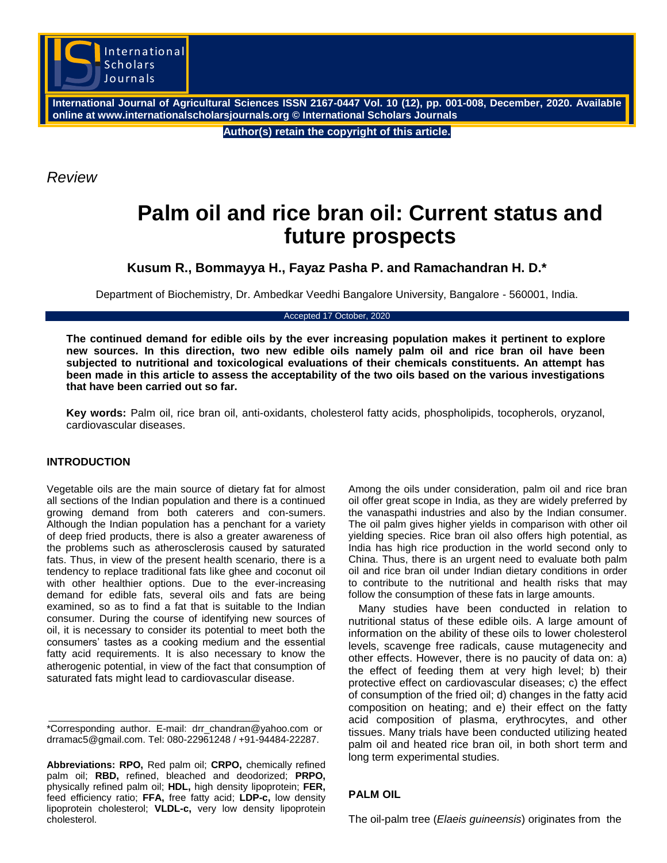

**International Journal of Agricultural Sciences ISSN 2167-0447 Vol. 10 (12), pp. 001-008, December, 2020. Available online at www.internationalscholarsjournals.org © International Scholars Journals**

**Author(s) retain the copyright of this article.**

*Review*

# **Palm oil and rice bran oil: Current status and future prospects**

**Kusum R., Bommayya H., Fayaz Pasha P. and Ramachandran H. D.\***

Department of Biochemistry, Dr. Ambedkar Veedhi Bangalore University, Bangalore - 560001, India.

Accepted 17 October, 2020

**The continued demand for edible oils by the ever increasing population makes it pertinent to explore new sources. In this direction, two new edible oils namely palm oil and rice bran oil have been subjected to nutritional and toxicological evaluations of their chemicals constituents. An attempt has been made in this article to assess the acceptability of the two oils based on the various investigations that have been carried out so far.**

**Key words:** Palm oil, rice bran oil, anti-oxidants, cholesterol fatty acids, phospholipids, tocopherols, oryzanol, cardiovascular diseases.

### **INTRODUCTION**

Vegetable oils are the main source of dietary fat for almost all sections of the Indian population and there is a continued growing demand from both caterers and con-sumers. Although the Indian population has a penchant for a variety of deep fried products, there is also a greater awareness of the problems such as atherosclerosis caused by saturated fats. Thus, in view of the present health scenario, there is a tendency to replace traditional fats like ghee and coconut oil with other healthier options. Due to the ever-increasing demand for edible fats, several oils and fats are being examined, so as to find a fat that is suitable to the Indian consumer. During the course of identifying new sources of oil, it is necessary to consider its potential to meet both the consumers' tastes as a cooking medium and the essential fatty acid requirements. It is also necessary to know the atherogenic potential, in view of the fact that consumption of saturated fats might lead to cardiovascular disease.

\*Corresponding author. E-mail: drr\_chandran@yahoo.com or drramac5@gmail.com. Tel: 080-22961248 / +91-94484-22287.

**Abbreviations: RPO,** Red palm oil; **CRPO,** chemically refined palm oil; **RBD,** refined, bleached and deodorized; **PRPO,** physically refined palm oil; **HDL,** high density lipoprotein; **FER,** feed efficiency ratio; **FFA,** free fatty acid; **LDP-c,** low density lipoprotein cholesterol; **VLDL-c,** very low density lipoprotein cholesterol.

Among the oils under consideration, palm oil and rice bran oil offer great scope in India, as they are widely preferred by the vanaspathi industries and also by the Indian consumer. The oil palm gives higher yields in comparison with other oil yielding species. Rice bran oil also offers high potential, as India has high rice production in the world second only to China. Thus, there is an urgent need to evaluate both palm oil and rice bran oil under Indian dietary conditions in order to contribute to the nutritional and health risks that may follow the consumption of these fats in large amounts.

Many studies have been conducted in relation to nutritional status of these edible oils. A large amount of information on the ability of these oils to lower cholesterol levels, scavenge free radicals, cause mutagenecity and other effects. However, there is no paucity of data on: a) the effect of feeding them at very high level; b) their protective effect on cardiovascular diseases; c) the effect of consumption of the fried oil; d) changes in the fatty acid composition on heating; and e) their effect on the fatty acid composition of plasma, erythrocytes, and other tissues. Many trials have been conducted utilizing heated palm oil and heated rice bran oil, in both short term and long term experimental studies.

# **PALM OIL**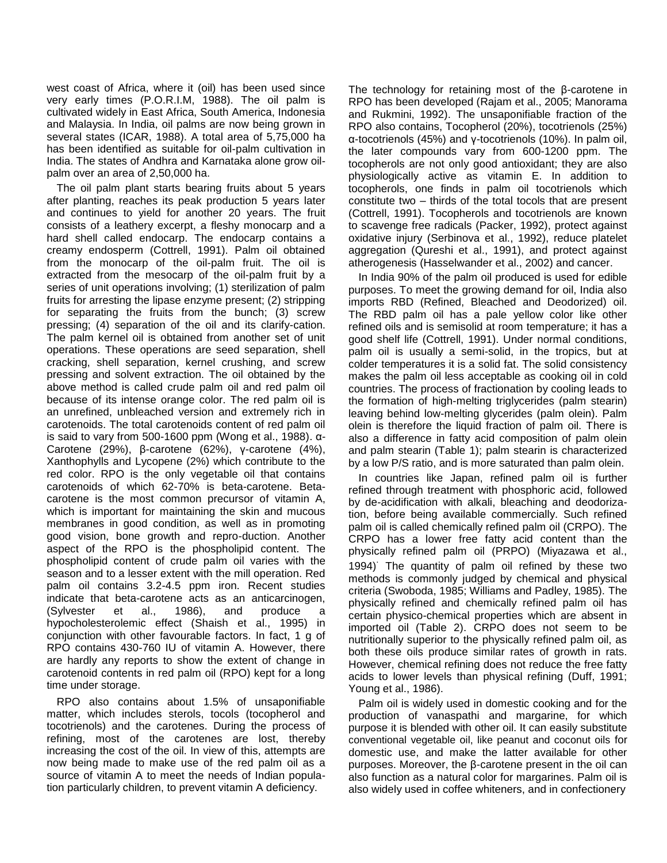west coast of Africa, where it (oil) has been used since very early times (P.O.R.I.M, 1988). The oil palm is cultivated widely in East Africa, South America, Indonesia and Malaysia. In India, oil palms are now being grown in several states (ICAR, 1988). A total area of 5,75,000 ha has been identified as suitable for oil-palm cultivation in India. The states of Andhra and Karnataka alone grow oilpalm over an area of 2,50,000 ha.

The oil palm plant starts bearing fruits about 5 years after planting, reaches its peak production 5 years later and continues to yield for another 20 years. The fruit consists of a leathery excerpt, a fleshy monocarp and a hard shell called endocarp. The endocarp contains a creamy endosperm (Cottrell, 1991). Palm oil obtained from the monocarp of the oil-palm fruit. The oil is extracted from the mesocarp of the oil-palm fruit by a series of unit operations involving; (1) sterilization of palm fruits for arresting the lipase enzyme present; (2) stripping for separating the fruits from the bunch; (3) screw pressing; (4) separation of the oil and its clarify-cation. The palm kernel oil is obtained from another set of unit operations. These operations are seed separation, shell cracking, shell separation, kernel crushing, and screw pressing and solvent extraction. The oil obtained by the above method is called crude palm oil and red palm oil because of its intense orange color. The red palm oil is an unrefined, unbleached version and extremely rich in carotenoids. The total carotenoids content of red palm oil is said to vary from 500-1600 ppm (Wong et al., 1988). α-Carotene (29%), β-carotene (62%), γ-carotene (4%), Xanthophylls and Lycopene (2%) which contribute to the red color. RPO is the only vegetable oil that contains carotenoids of which 62-70% is beta-carotene. Betacarotene is the most common precursor of vitamin A, which is important for maintaining the skin and mucous membranes in good condition, as well as in promoting good vision, bone growth and repro-duction. Another aspect of the RPO is the phospholipid content. The phospholipid content of crude palm oil varies with the season and to a lesser extent with the mill operation. Red palm oil contains 3.2-4.5 ppm iron. Recent studies indicate that beta-carotene acts as an anticarcinogen, (Sylvester et al., 1986), and produce a hypocholesterolemic effect (Shaish et al., 1995) in conjunction with other favourable factors. In fact, 1 g of RPO contains 430-760 IU of vitamin A. However, there are hardly any reports to show the extent of change in carotenoid contents in red palm oil (RPO) kept for a long time under storage.

RPO also contains about 1.5% of unsaponifiable matter, which includes sterols, tocols (tocopherol and tocotrienols) and the carotenes. During the process of refining, most of the carotenes are lost, thereby increasing the cost of the oil. In view of this, attempts are now being made to make use of the red palm oil as a source of vitamin A to meet the needs of Indian population particularly children, to prevent vitamin A deficiency.

The technology for retaining most of the β-carotene in RPO has been developed (Rajam et al., 2005; Manorama and Rukmini, 1992). The unsaponifiable fraction of the RPO also contains, Tocopherol (20%), tocotrienols (25%) α-tocotrienols (45%) and γ-tocotrienols (10%). In palm oil, the later compounds vary from 600-1200 ppm. The tocopherols are not only good antioxidant; they are also physiologically active as vitamin E. In addition to tocopherols, one finds in palm oil tocotrienols which constitute two – thirds of the total tocols that are present (Cottrell, 1991). Tocopherols and tocotrienols are known to scavenge free radicals (Packer, 1992), protect against oxidative injury (Serbinova et al., 1992), reduce platelet aggregation (Qureshi et al., 1991), and protect against atherogenesis (Hasselwander et al., 2002) and cancer.

In India 90% of the palm oil produced is used for edible purposes. To meet the growing demand for oil, India also imports RBD (Refined, Bleached and Deodorized) oil. The RBD palm oil has a pale yellow color like other refined oils and is semisolid at room temperature; it has a good shelf life (Cottrell, 1991). Under normal conditions, palm oil is usually a semi-solid, in the tropics, but at colder temperatures it is a solid fat. The solid consistency makes the palm oil less acceptable as cooking oil in cold countries. The process of fractionation by cooling leads to the formation of high-melting triglycerides (palm stearin) leaving behind low-melting glycerides (palm olein). Palm olein is therefore the liquid fraction of palm oil. There is also a difference in fatty acid composition of palm olein and palm stearin (Table 1); palm stearin is characterized by a low P/S ratio, and is more saturated than palm olein.

In countries like Japan, refined palm oil is further refined through treatment with phosphoric acid, followed by de-acidification with alkali, bleaching and deodorization, before being available commercially. Such refined palm oil is called chemically refined palm oil (CRPO). The CRPO has a lower free fatty acid content than the physically refined palm oil (PRPO) (Miyazawa et al., 1994). The quantity of palm oil refined by these two methods is commonly judged by chemical and physical criteria (Swoboda, 1985; Williams and Padley, 1985). The physically refined and chemically refined palm oil has certain physico-chemical properties which are absent in imported oil (Table 2). CRPO does not seem to be nutritionally superior to the physically refined palm oil, as both these oils produce similar rates of growth in rats. However, chemical refining does not reduce the free fatty acids to lower levels than physical refining (Duff, 1991; Young et al., 1986).

Palm oil is widely used in domestic cooking and for the production of vanaspathi and margarine, for which purpose it is blended with other oil. It can easily substitute conventional vegetable oil, like peanut and coconut oils for domestic use, and make the latter available for other purposes. Moreover, the β-carotene present in the oil can also function as a natural color for margarines. Palm oil is also widely used in coffee whiteners, and in confectionery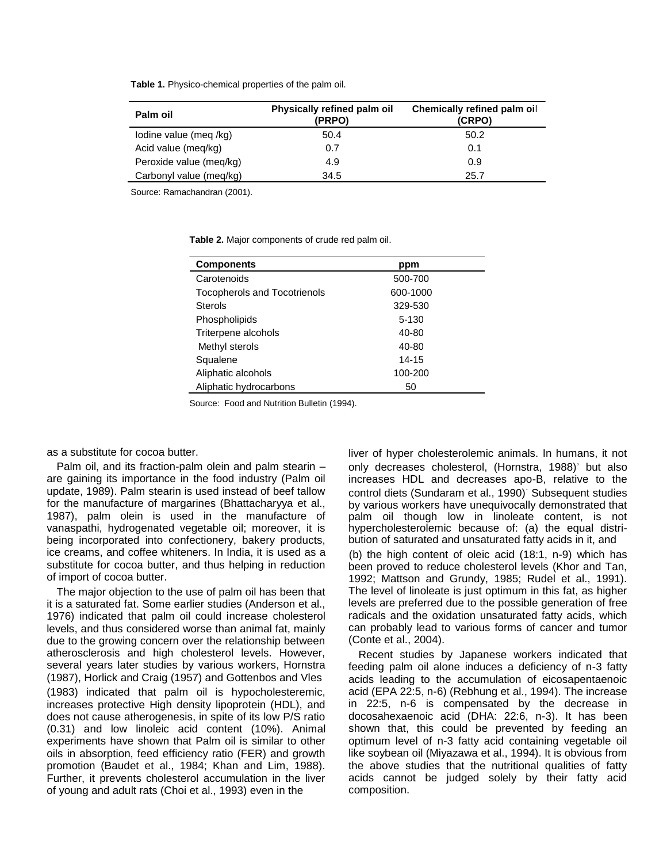**Table 1.** Physico-chemical properties of the palm oil.

| Palm oil                | Physically refined palm oil<br>(PRPO) | Chemically refined palm oil<br>(CRPO) |
|-------------------------|---------------------------------------|---------------------------------------|
| lodine value (meg /kg)  | 50.4                                  | 50.2                                  |
| Acid value (meg/kg)     | 0.7                                   | 0.1                                   |
| Peroxide value (meq/kg) | 4.9                                   | 0.9                                   |
| Carbonyl value (meq/kg) | 34.5                                  | 25.7                                  |

Source: Ramachandran (2001).

**Table 2.** Major components of crude red palm oil.

| <b>Components</b>                   | ppm       |
|-------------------------------------|-----------|
| Carotenoids                         | 500-700   |
| <b>Tocopherols and Tocotrienols</b> | 600-1000  |
| <b>Sterols</b>                      | 329-530   |
| Phospholipids                       | $5 - 130$ |
| Triterpene alcohols                 | 40-80     |
| Methyl sterols                      | 40-80     |
| Squalene                            | 14-15     |
| Aliphatic alcohols                  | 100-200   |
| Aliphatic hydrocarbons              | 50        |

Source: Food and Nutrition Bulletin (1994).

as a substitute for cocoa butter.

Palm oil, and its fraction-palm olein and palm stearin – are gaining its importance in the food industry (Palm oil update, 1989). Palm stearin is used instead of beef tallow for the manufacture of margarines (Bhattacharyya et al., 1987), palm olein is used in the manufacture of vanaspathi, hydrogenated vegetable oil; moreover, it is being incorporated into confectionery, bakery products, ice creams, and coffee whiteners. In India, it is used as a substitute for cocoa butter, and thus helping in reduction of import of cocoa butter.

The major objection to the use of palm oil has been that it is a saturated fat. Some earlier studies (Anderson et al., 1976) indicated that palm oil could increase cholesterol levels, and thus considered worse than animal fat, mainly due to the growing concern over the relationship between atherosclerosis and high cholesterol levels. However, several years later studies by various workers, Hornstra (1987), Horlick and Craig (1957) and Gottenbos and Vles (1983) indicated that palm oil is hypocholesteremic, increases protective High density lipoprotein (HDL), and does not cause atherogenesis, in spite of its low P/S ratio (0.31) and low linoleic acid content (10%). Animal experiments have shown that Palm oil is similar to other oils in absorption, feed efficiency ratio (FER) and growth promotion (Baudet et al., 1984; Khan and Lim, 1988). Further, it prevents cholesterol accumulation in the liver of young and adult rats (Choi et al., 1993) even in the

liver of hyper cholesterolemic animals. In humans, it not only decreases cholesterol, (Hornstra, 1988)' but also increases HDL and decreases apo-B, relative to the control diets (Sundaram et al., 1990). Subsequent studies by various workers have unequivocally demonstrated that palm oil though low in linoleate content, is not hypercholesterolemic because of: (a) the equal distribution of saturated and unsaturated fatty acids in it, and (b) the high content of oleic acid (18:1, n-9) which has been proved to reduce cholesterol levels (Khor and Tan, 1992; Mattson and Grundy, 1985; Rudel et al., 1991). The level of linoleate is just optimum in this fat, as higher levels are preferred due to the possible generation of free radicals and the oxidation unsaturated fatty acids, which can probably lead to various forms of cancer and tumor (Conte et al., 2004).

Recent studies by Japanese workers indicated that feeding palm oil alone induces a deficiency of n-3 fatty acids leading to the accumulation of eicosapentaenoic acid (EPA 22:5, n-6) (Rebhung et al., 1994). The increase in 22:5, n-6 is compensated by the decrease in docosahexaenoic acid (DHA: 22:6, n-3). It has been shown that, this could be prevented by feeding an optimum level of n-3 fatty acid containing vegetable oil like soybean oil (Miyazawa et al., 1994). It is obvious from the above studies that the nutritional qualities of fatty acids cannot be judged solely by their fatty acid composition.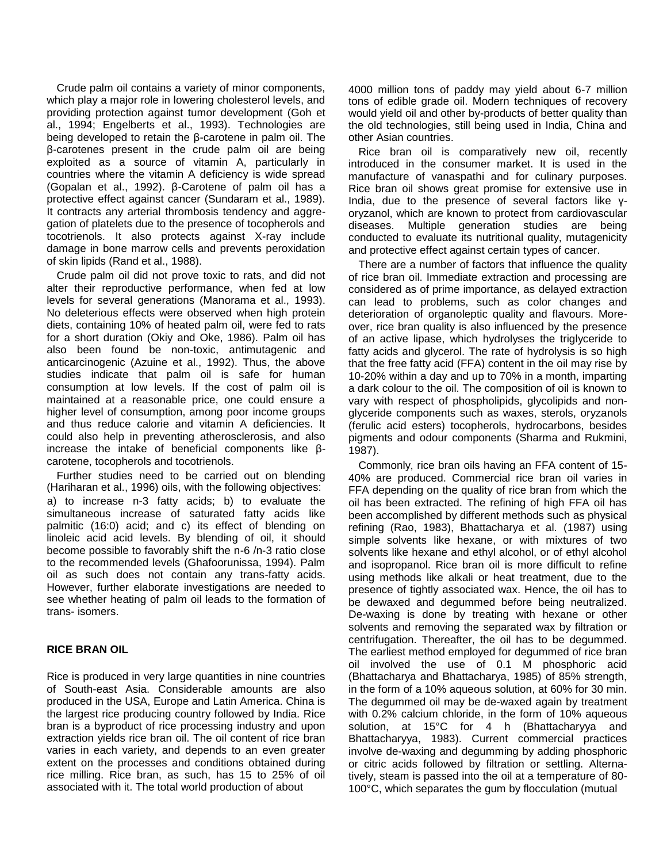Crude palm oil contains a variety of minor components, which play a major role in lowering cholesterol levels, and providing protection against tumor development (Goh et al., 1994; Engelberts et al., 1993). Technologies are being developed to retain the β-carotene in palm oil. The β-carotenes present in the crude palm oil are being exploited as a source of vitamin A, particularly in countries where the vitamin A deficiency is wide spread (Gopalan et al., 1992). β-Carotene of palm oil has a protective effect against cancer (Sundaram et al., 1989). It contracts any arterial thrombosis tendency and aggregation of platelets due to the presence of tocopherols and tocotrienols. It also protects against X-ray include damage in bone marrow cells and prevents peroxidation of skin lipids (Rand et al., 1988).

Crude palm oil did not prove toxic to rats, and did not alter their reproductive performance, when fed at low levels for several generations (Manorama et al., 1993). No deleterious effects were observed when high protein diets, containing 10% of heated palm oil, were fed to rats for a short duration (Okiy and Oke, 1986). Palm oil has also been found be non-toxic, antimutagenic and anticarcinogenic (Azuine et al., 1992). Thus, the above studies indicate that palm oil is safe for human consumption at low levels. If the cost of palm oil is maintained at a reasonable price, one could ensure a higher level of consumption, among poor income groups and thus reduce calorie and vitamin A deficiencies. It could also help in preventing atherosclerosis, and also increase the intake of beneficial components like βcarotene, tocopherols and tocotrienols.

Further studies need to be carried out on blending (Hariharan et al., 1996) oils, with the following objectives: a) to increase n-3 fatty acids; b) to evaluate the simultaneous increase of saturated fatty acids like palmitic (16:0) acid; and c) its effect of blending on linoleic acid acid levels. By blending of oil, it should become possible to favorably shift the n-6 /n-3 ratio close to the recommended levels (Ghafoorunissa, 1994). Palm oil as such does not contain any trans-fatty acids. However, further elaborate investigations are needed to see whether heating of palm oil leads to the formation of trans- isomers.

#### **RICE BRAN OIL**

Rice is produced in very large quantities in nine countries of South-east Asia. Considerable amounts are also produced in the USA, Europe and Latin America. China is the largest rice producing country followed by India. Rice bran is a byproduct of rice processing industry and upon extraction yields rice bran oil. The oil content of rice bran varies in each variety, and depends to an even greater extent on the processes and conditions obtained during rice milling. Rice bran, as such, has 15 to 25% of oil associated with it. The total world production of about

4000 million tons of paddy may yield about 6-7 million tons of edible grade oil. Modern techniques of recovery would yield oil and other by-products of better quality than the old technologies, still being used in India, China and other Asian countries.

Rice bran oil is comparatively new oil, recently introduced in the consumer market. It is used in the manufacture of vanaspathi and for culinary purposes. Rice bran oil shows great promise for extensive use in India, due to the presence of several factors like γoryzanol, which are known to protect from cardiovascular diseases. Multiple generation studies are being conducted to evaluate its nutritional quality, mutagenicity and protective effect against certain types of cancer.

There are a number of factors that influence the quality of rice bran oil. Immediate extraction and processing are considered as of prime importance, as delayed extraction can lead to problems, such as color changes and deterioration of organoleptic quality and flavours. Moreover, rice bran quality is also influenced by the presence of an active lipase, which hydrolyses the triglyceride to fatty acids and glycerol. The rate of hydrolysis is so high that the free fatty acid (FFA) content in the oil may rise by 10-20% within a day and up to 70% in a month, imparting a dark colour to the oil. The composition of oil is known to vary with respect of phospholipids, glycolipids and nonglyceride components such as waxes, sterols, oryzanols (ferulic acid esters) tocopherols, hydrocarbons, besides pigments and odour components (Sharma and Rukmini, 1987).

Commonly, rice bran oils having an FFA content of 15- 40% are produced. Commercial rice bran oil varies in FFA depending on the quality of rice bran from which the oil has been extracted. The refining of high FFA oil has been accomplished by different methods such as physical refining (Rao, 1983), Bhattacharya et al. (1987) using simple solvents like hexane, or with mixtures of two solvents like hexane and ethyl alcohol, or of ethyl alcohol and isopropanol. Rice bran oil is more difficult to refine using methods like alkali or heat treatment, due to the presence of tightly associated wax. Hence, the oil has to be dewaxed and degummed before being neutralized. De-waxing is done by treating with hexane or other solvents and removing the separated wax by filtration or centrifugation. Thereafter, the oil has to be degummed. The earliest method employed for degummed of rice bran oil involved the use of 0.1 M phosphoric acid (Bhattacharya and Bhattacharya, 1985) of 85% strength, in the form of a 10% aqueous solution, at 60% for 30 min. The degummed oil may be de-waxed again by treatment with 0.2% calcium chloride, in the form of 10% aqueous solution, at 15°C for 4 h (Bhattacharyya and Bhattacharyya, 1983). Current commercial practices involve de-waxing and degumming by adding phosphoric or citric acids followed by filtration or settling. Alternatively, steam is passed into the oil at a temperature of 80- 100°C, which separates the gum by flocculation (mutual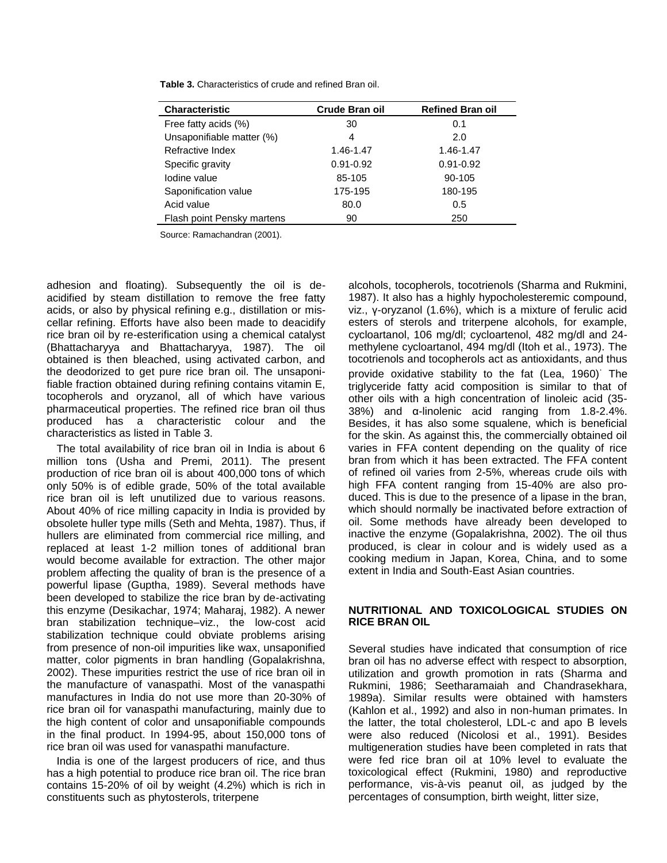| <b>Characteristic</b>      | <b>Crude Bran oil</b> | <b>Refined Bran oil</b> |
|----------------------------|-----------------------|-------------------------|
| Free fatty acids (%)       | 30                    | 0.1                     |
| Unsaponifiable matter (%)  | 4                     | 2.0                     |
| Refractive Index           | 1.46-1.47             | 1.46-1.47               |
| Specific gravity           | $0.91 - 0.92$         | $0.91 - 0.92$           |
| lodine value               | 85-105                | 90-105                  |
| Saponification value       | 175-195               | 180-195                 |
| Acid value                 | 80.0                  | 0.5                     |
| Flash point Pensky martens | 90                    | 250                     |

**Table 3.** Characteristics of crude and refined Bran oil.

Source: Ramachandran (2001).

adhesion and floating). Subsequently the oil is deacidified by steam distillation to remove the free fatty acids, or also by physical refining e.g., distillation or miscellar refining. Efforts have also been made to deacidify rice bran oil by re-esterification using a chemical catalyst (Bhattacharyya and Bhattacharyya, 1987). The oil obtained is then bleached, using activated carbon, and the deodorized to get pure rice bran oil. The unsaponifiable fraction obtained during refining contains vitamin E, tocopherols and oryzanol, all of which have various pharmaceutical properties. The refined rice bran oil thus produced has a characteristic colour and the characteristics as listed in Table 3.

The total availability of rice bran oil in India is about 6 million tons (Usha and Premi, 2011). The present production of rice bran oil is about 400,000 tons of which only 50% is of edible grade, 50% of the total available rice bran oil is left unutilized due to various reasons. About 40% of rice milling capacity in India is provided by obsolete huller type mills (Seth and Mehta, 1987). Thus, if hullers are eliminated from commercial rice milling, and replaced at least 1-2 million tones of additional bran would become available for extraction. The other major problem affecting the quality of bran is the presence of a powerful lipase (Guptha, 1989). Several methods have been developed to stabilize the rice bran by de-activating this enzyme (Desikachar, 1974; Maharaj, 1982). A newer bran stabilization technique–viz., the low-cost acid stabilization technique could obviate problems arising from presence of non-oil impurities like wax, unsaponified matter, color pigments in bran handling (Gopalakrishna, 2002). These impurities restrict the use of rice bran oil in the manufacture of vanaspathi. Most of the vanaspathi manufactures in India do not use more than 20-30% of rice bran oil for vanaspathi manufacturing, mainly due to the high content of color and unsaponifiable compounds in the final product. In 1994-95, about 150,000 tons of rice bran oil was used for vanaspathi manufacture.

India is one of the largest producers of rice, and thus has a high potential to produce rice bran oil. The rice bran contains 15-20% of oil by weight (4.2%) which is rich in constituents such as phytosterols, triterpene

alcohols, tocopherols, tocotrienols (Sharma and Rukmini, 1987). It also has a highly hypocholesteremic compound, viz., γ-oryzanol (1.6%), which is a mixture of ferulic acid esters of sterols and triterpene alcohols, for example, cycloartanol, 106 mg/dl; cycloartenol, 482 mg/dl and 24 methylene cycloartanol, 494 mg/dl (Itoh et al., 1973). The tocotrienols and tocopherols act as antioxidants, and thus provide oxidative stability to the fat (Lea, 1960). The triglyceride fatty acid composition is similar to that of other oils with a high concentration of linoleic acid (35- 38%) and α-linolenic acid ranging from 1.8-2.4%. Besides, it has also some squalene, which is beneficial for the skin. As against this, the commercially obtained oil varies in FFA content depending on the quality of rice bran from which it has been extracted. The FFA content of refined oil varies from 2-5%, whereas crude oils with high FFA content ranging from 15-40% are also produced. This is due to the presence of a lipase in the bran, which should normally be inactivated before extraction of oil. Some methods have already been developed to inactive the enzyme (Gopalakrishna, 2002). The oil thus produced, is clear in colour and is widely used as a cooking medium in Japan, Korea, China, and to some extent in India and South-East Asian countries.

#### **NUTRITIONAL AND TOXICOLOGICAL STUDIES ON RICE BRAN OIL**

Several studies have indicated that consumption of rice bran oil has no adverse effect with respect to absorption, utilization and growth promotion in rats (Sharma and Rukmini, 1986; Seetharamaiah and Chandrasekhara, 1989a). Similar results were obtained with hamsters (Kahlon et al., 1992) and also in non-human primates. In the latter, the total cholesterol, LDL-c and apo B levels were also reduced (Nicolosi et al., 1991). Besides multigeneration studies have been completed in rats that were fed rice bran oil at 10% level to evaluate the toxicological effect (Rukmini, 1980) and reproductive performance, vis-à-vis peanut oil, as judged by the percentages of consumption, birth weight, litter size,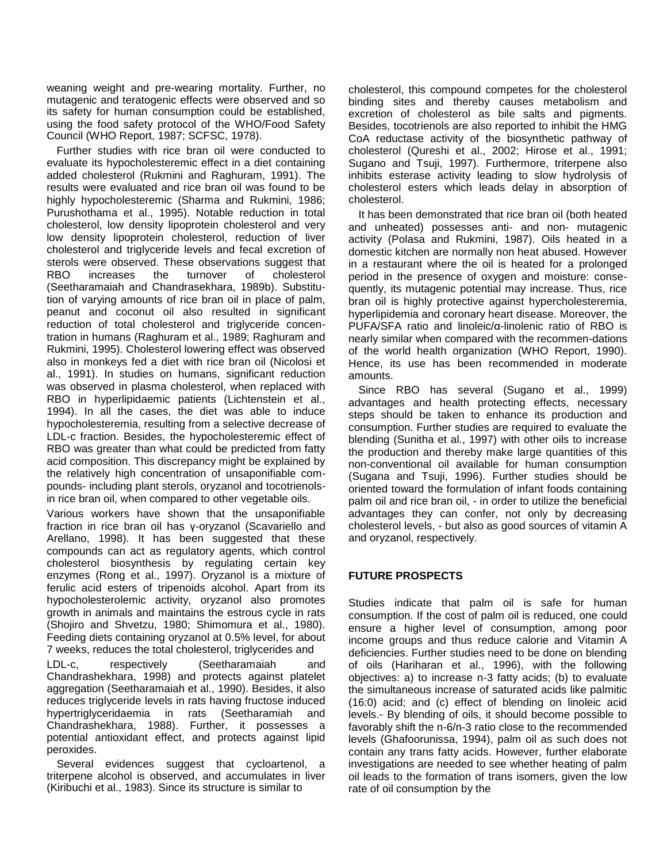weaning weight and pre-wearing mortality. Further, no mutagenic and teratogenic effects were observed and so its safety for human consumption could be established, using the food safety protocol of the WHO/Food Safety Council (WHO Report, 1987; SCFSC, 1978).

Further studies with rice bran oil were conducted to evaluate its hypocholesteremic effect in a diet containing added cholesterol (Rukmini and Raghuram, 1991). The results were evaluated and rice bran oil was found to be highly hypocholesteremic (Sharma and Rukmini, 1986; Purushothama et al., 1995). Notable reduction in total cholesterol, low density lipoprotein cholesterol and very low density lipoprotein cholesterol, reduction of liver cholesterol and triglyceride levels and fecal excretion of sterols were observed. These observations suggest that RBO increases the turnover of cholesterol (Seetharamaiah and Chandrasekhara, 1989b). Substitution of varying amounts of rice bran oil in place of palm, peanut and coconut oil also resulted in significant reduction of total cholesterol and triglyceride concentration in humans (Raghuram et al., 1989; Raghuram and Rukmini, 1995). Cholesterol lowering effect was observed also in monkeys fed a diet with rice bran oil (Nicolosi et al., 1991). In studies on humans, significant reduction was observed in plasma cholesterol, when replaced with RBO in hyperlipidaemic patients (Lichtenstein et al., 1994). In all the cases, the diet was able to induce hypocholesteremia, resulting from a selective decrease of LDL-c fraction. Besides, the hypocholesteremic effect of RBO was greater than what could be predicted from fatty acid composition. This discrepancy might be explained by the relatively high concentration of unsaponifiable compounds- including plant sterols, oryzanol and tocotrienolsin rice bran oil, when compared to other vegetable oils.

Various workers have shown that the unsaponifiable fraction in rice bran oil has γ-oryzanol (Scavariello and Arellano, 1998). It has been suggested that these compounds can act as regulatory agents, which control cholesterol biosynthesis by regulating certain key enzymes (Rong et al., 1997). Oryzanol is a mixture of ferulic acid esters of tripenoids alcohol. Apart from its hypocholesterolemic activity, oryzanol also promotes growth in animals and maintains the estrous cycle in rats (Shojiro and Shvetzu, 1980; Shimomura et al., 1980). Feeding diets containing oryzanol at 0.5% level, for about 7 weeks, reduces the total cholesterol, triglycerides and

LDL-c, respectively (Seetharamaiah and Chandrashekhara, 1998) and protects against platelet aggregation (Seetharamaiah et al., 1990). Besides, it also reduces triglyceride levels in rats having fructose induced hypertriglyceridaemia in rats (Seetharamiah and Chandrashekhara, 1988). Further, it possesses a potential antioxidant effect, and protects against lipid peroxides.

Several evidences suggest that cycloartenol, a triterpene alcohol is observed, and accumulates in liver (Kiribuchi et al., 1983). Since its structure is similar to

cholesterol, this compound competes for the cholesterol binding sites and thereby causes metabolism and excretion of cholesterol as bile salts and pigments. Besides, tocotrienols are also reported to inhibit the HMG CoA reductase activity of the biosynthetic pathway of cholesterol (Qureshi et al., 2002; Hirose et al., 1991; Sugano and Tsuji, 1997). Furthermore, triterpene also inhibits esterase activity leading to slow hydrolysis of cholesterol esters which leads delay in absorption of cholesterol.

It has been demonstrated that rice bran oil (both heated and unheated) possesses anti- and non- mutagenic activity (Polasa and Rukmini, 1987). Oils heated in a domestic kitchen are normally non heat abused. However in a restaurant where the oil is heated for a prolonged period in the presence of oxygen and moisture: consequently, its mutagenic potential may increase. Thus, rice bran oil is highly protective against hypercholesteremia, hyperlipidemia and coronary heart disease. Moreover, the PUFA/SFA ratio and linoleic/α-linolenic ratio of RBO is nearly similar when compared with the recommen-dations of the world health organization (WHO Report, 1990). Hence, its use has been recommended in moderate amounts.

Since RBO has several (Sugano et al., 1999) advantages and health protecting effects, necessary steps should be taken to enhance its production and consumption. Further studies are required to evaluate the blending (Sunitha et al., 1997) with other oils to increase the production and thereby make large quantities of this non-conventional oil available for human consumption (Sugana and Tsuji, 1996). Further studies should be oriented toward the formulation of infant foods containing palm oil and rice bran oil, - in order to utilize the beneficial advantages they can confer, not only by decreasing cholesterol levels, - but also as good sources of vitamin A and oryzanol, respectively.

## **FUTURE PROSPECTS**

Studies indicate that palm oil is safe for human consumption. If the cost of palm oil is reduced, one could ensure a higher level of consumption, among poor income groups and thus reduce calorie and Vitamin A deficiencies. Further studies need to be done on blending of oils (Hariharan et al., 1996), with the following objectives: a) to increase n-3 fatty acids; (b) to evaluate the simultaneous increase of saturated acids like palmitic (16:0) acid; and (c) effect of blending on linoleic acid levels.- By blending of oils, it should become possible to favorably shift the n-6/n-3 ratio close to the recommended levels (Ghafoorunissa, 1994), palm oil as such does not contain any trans fatty acids. However, further elaborate investigations are needed to see whether heating of palm oil leads to the formation of trans isomers, given the low rate of oil consumption by the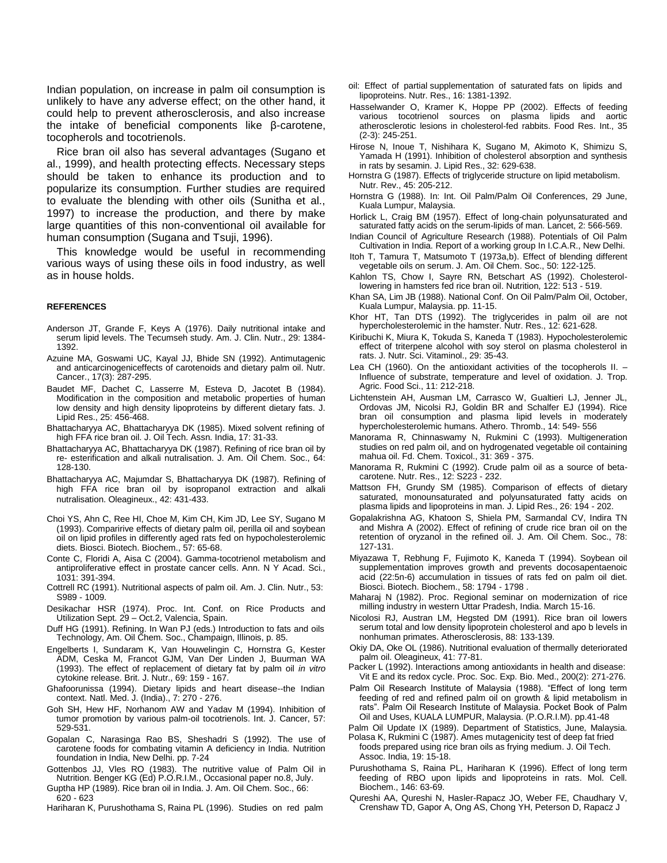Indian population, on increase in palm oil consumption is unlikely to have any adverse effect; on the other hand, it could help to prevent atherosclerosis, and also increase the intake of beneficial components like β-carotene, tocopherols and tocotrienols.

Rice bran oil also has several advantages (Sugano et al., 1999), and health protecting effects. Necessary steps should be taken to enhance its production and to popularize its consumption. Further studies are required to evaluate the blending with other oils (Sunitha et al., 1997) to increase the production, and there by make large quantities of this non-conventional oil available for human consumption (Sugana and Tsuji, 1996).

This knowledge would be useful in recommending various ways of using these oils in food industry, as well as in house holds.

#### **REFERENCES**

- Anderson JT, Grande F, Keys A (1976). Daily nutritional intake and serum lipid levels. The Tecumseh study. Am. J. Clin. Nutr., 29: 1384- 1392.
- Azuine MA, Goswami UC, Kayal JJ, Bhide SN (1992). Antimutagenic and anticarcinogeniceffects of carotenoids and dietary palm oil. Nutr. Cancer., 17(3): 287-295.
- Baudet MF, Dachet C, Lasserre M, Esteva D, Jacotet B (1984). Modification in the composition and metabolic properties of human low density and high density lipoproteins by different dietary fats. J. Lipid Res., 25: 456-468.
- Bhattacharyya AC, Bhattacharyya DK (1985). Mixed solvent refining of high FFA rice bran oil. J. Oil Tech. Assn. India, 17: 31-33.
- Bhattacharyya AC, Bhattacharyya DK (1987). Refining of rice bran oil by re- esterification and alkali nutralisation. J. Am. Oil Chem. Soc., 64: 128-130.
- Bhattacharyya AC, Majumdar S, Bhattacharyya DK (1987). Refining of high FFA rice bran oil by isopropanol extraction and alkali nutralisation. Oleagineux., 42: 431-433.
- Choi YS, Ahn C, Ree HI, Choe M, Kim CH, Kim JD, Lee SY, Sugano M (1993). Comparirive effects of dietary palm oil, perilla oil and soybean oil on lipid profiles in differently aged rats fed on hypocholesterolemic diets. Biosci. Biotech. Biochem., 57: 65-68.
- Conte C, Floridi A, Aisa C (2004). Gamma-tocotrienol metabolism and antiproliferative effect in prostate cancer cells. Ann. N Y Acad. Sci., 1031: 391-394.
- Cottrell RC (1991). Nutritional aspects of palm oil. Am. J. Clin. Nutr., 53: S989 - 1009.
- Desikachar HSR (1974). Proc. Int. Conf. on Rice Products and Utilization Sept. 29 – Oct.2, Valencia, Spain.
- Duff HG (1991). Refining. In Wan PJ (eds.) Introduction to fats and oils Technology, Am. Oil Chem. Soc., Champaign, Illinois, p. 85.
- Engelberts I, Sundaram K, Van Houwelingin C, Hornstra G, Kester ADM, Ceska M, Francot GJM, Van Der Linden J, Buurman WA (1993). The effect of replacement of dietary fat by palm oil *in vitro* cytokine release. Brit. J. Nutr., 69: 159 - 167.
- Ghafoorunissa (1994). Dietary lipids and heart disease--the Indian context. Natl. Med. J. (India)., 7: 270 - 276.
- Goh SH, Hew HF, Norhanom AW and Yadav M (1994). Inhibition of tumor promotion by various palm-oil tocotrienols. Int. J. Cancer, 57: 529-531.
- Gopalan C, Narasinga Rao BS, Sheshadri S (1992). The use of carotene foods for combating vitamin A deficiency in India. Nutrition foundation in India, New Delhi. pp. 7-24
- Gottenbos JJ, Vles RO (1983). The nutritive value of Palm Oil in Nutrition. Benger KG (Ed) P.O.R.I.M., Occasional paper no.8, July.
- Guptha HP (1989). Rice bran oil in India. J. Am. Oil Chem. Soc., 66: 620 - 623
- Hariharan K, Purushothama S, Raina PL (1996). Studies on red palm
- oil: Effect of partial supplementation of saturated fats on lipids and lipoproteins. Nutr. Res., 16: 1381-1392.
- Hasselwander O, Kramer K, Hoppe PP (2002). Effects of feeding various tocotrienol sources on plasma lipids and aortic atherosclerotic lesions in cholesterol-fed rabbits. Food Res. Int., 35 (2-3): 245-251.
- Hirose N, Inoue T, Nishihara K, Sugano M, Akimoto K, Shimizu S, Yamada H (1991). Inhibition of cholesterol absorption and synthesis in rats by sesamin. J. Lipid Res., 32: 629-638.
- Hornstra G (1987). Effects of triglyceride structure on lipid metabolism. Nutr. Rev., 45: 205-212.
- Hornstra G (1988). In: Int. Oil Palm/Palm Oil Conferences, 29 June, Kuala Lumpur, Malaysia.
- Horlick L, Craig BM (1957). Effect of long-chain polyunsaturated and saturated fatty acids on the serum-lipids of man. Lancet, 2: 566-569.
- Indian Council of Agriculture Research (1988). Potentials of Oil Palm Cultivation in India. Report of a working group In I.C.A.R., New Delhi.
- Itoh T, Tamura T, Matsumoto T (1973a,b). Effect of blending different vegetable oils on serum. J. Am. Oil Chem. Soc., 50: 122-125.
- Kahlon TS, Chow I, Sayre RN, Betschart AS (1992). Cholesterollowering in hamsters fed rice bran oil. Nutrition, 122: 513 - 519.
- Khan SA, Lim JB (1988). National Conf. On Oil Palm/Palm Oil, October, Kuala Lumpur, Malaysia. pp. 11-15.
- Khor HT, Tan DTS (1992). The triglycerides in palm oil are not hypercholesterolemic in the hamster. Nutr. Res., 12: 621-628.
- Kiribuchi K, Miura K, Tokuda S, Kaneda T (1983). Hypocholesterolemic effect of triterpene alcohol with soy sterol on plasma cholesterol in rats. J. Nutr. Sci. Vitaminol., 29: 35-43.
- Lea CH (1960). On the antioxidant activities of the tocopherols II. Influence of substrate, temperature and level of oxidation. J. Trop. Agric. Food Sci., 11: 212-218.
- Lichtenstein AH, Ausman LM, Carrasco W, Gualtieri LJ, Jenner JL, Ordovas JM, Nicolsi RJ, Goldin BR and Schalfer EJ (1994). Rice bran oil consumption and plasma lipid levels in moderately hypercholesterolemic humans. Athero. Thromb., 14: 549- 556
- Manorama R, Chinnaswamy N, Rukmini C (1993). Multigeneration studies on red palm oil, and on hydrogenated vegetable oil containing mahua oil. Fd. Chem. Toxicol., 31: 369 - 375.
- Manorama R, Rukmini C (1992). Crude palm oil as a source of betacarotene. Nutr. Res., 12: S223 - 232.
- Mattson FH, Grundy SM (1985). Comparison of effects of dietary saturated, monounsaturated and polyunsaturated fatty acids on plasma lipids and lipoproteins in man. J. Lipid Res., 26: 194 - 202.
- Gopalakrishna AG, Khatoon S, Shiela PM, Sarmandal CV, Indira TN and Mishra A (2002). Effect of refining of crude rice bran oil on the retention of oryzanol in the refined oil. J. Am. Oil Chem. Soc., 78: 127-131.
- Miyazawa T, Rebhung F, Fujimoto K, Kaneda T (1994). Soybean oil supplementation improves growth and prevents docosapentaenoic acid (22:5n-6) accumulation in tissues of rats fed on palm oil diet. Biosci. Biotech. Biochem., 58: 1794 - 1798 .
- Maharaj N (1982). Proc. Regional seminar on modernization of rice milling industry in western Uttar Pradesh, India. March 15-16.
- Nicolosi RJ, Austran LM, Hegsted DM (1991). Rice bran oil lowers serum total and low density lipoprotein cholesterol and apo b levels in nonhuman primates. Atherosclerosis, 88: 133-139.
- Okiy DA, Oke OL (1986). Nutritional evaluation of thermally deteriorated palm oil. Oleagineux, 41: 77-81.
- Packer L (1992). Interactions among antioxidants in health and disease: Vit E and its redox cycle. Proc. Soc. Exp. Bio. Med., 200(2): 271-276.
- Palm Oil Research Institute of Malaysia (1988). "Effect of long term feeding of red and refined palm oil on growth & lipid metabolism in rats". Palm Oil Research Institute of Malaysia. Pocket Book of Palm Oil and Uses, KUALA LUMPUR, Malaysia. (P.O.R.I.M). pp.41-48
- Palm Oil Update IX (1989). Department of Statistics, June, Malaysia. Polasa K, Rukmini C (1987). Ames mutagenicity test of deep fat fried
- foods prepared using rice bran oils as frying medium. J. Oil Tech. Assoc. India, 19: 15-18.
- Purushothama S, Raina PL, Hariharan K (1996). Effect of long term feeding of RBO upon lipids and lipoproteins in rats. Mol. Cell. Biochem., 146: 63-69.
- Qureshi AA, Qureshi N, Hasler-Rapacz JO, Weber FE, Chaudhary V, Crenshaw TD, Gapor A, Ong AS, Chong YH, Peterson D, Rapacz J